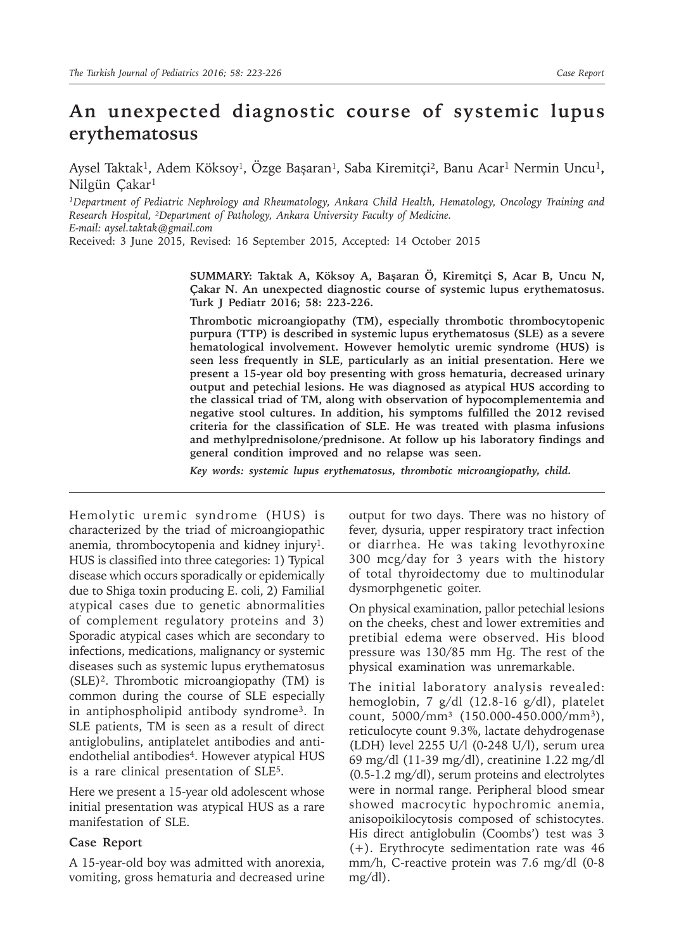## **An unexpected diagnostic course of systemic lupus erythematosus**

Aysel Taktak<sup>1</sup>, Adem Köksoy<sup>1</sup>, Özge Başaran<sup>1</sup>, Saba Kiremitçi<sup>2</sup>, Banu Acar<sup>1</sup> Nermin Uncu<sup>1</sup>, Nilgün Çakar<sup>1</sup>

*<sup>1</sup>Department of Pediatric Nephrology and Rheumatology, Ankara Child Health, Hematology, Oncology Training and Research Hospital, ²Department of Pathology, Ankara University Faculty of Medicine. E-mail: aysel.taktak@gmail.com*

Received: 3 June 2015, Revised: 16 September 2015, Accepted: 14 October 2015

**SUMMARY: Taktak A, Köksoy A, Başaran Ö, Kiremitçi S, Acar B, Uncu N, Çakar N. An unexpected diagnostic course of systemic lupus erythematosus. Turk J Pediatr 2016; 58: 223-226.**

**Thrombotic microangiopathy (TM), especially thrombotic thrombocytopenic purpura (TTP) is described in systemic lupus erythematosus (SLE) as a severe hematological involvement. However hemolytic uremic syndrome (HUS) is seen less frequently in SLE, particularly as an initial presentation. Here we present a 15-year old boy presenting with gross hematuria, decreased urinary output and petechial lesions. He was diagnosed as atypical HUS according to the classical triad of TM, along with observation of hypocomplementemia and negative stool cultures. In addition, his symptoms fulfilled the 2012 revised criteria for the classification of SLE. He was treated with plasma infusions and methylprednisolone/prednisone. At follow up his laboratory findings and general condition improved and no relapse was seen.**

*Key words: systemic lupus erythematosus, thrombotic microangiopathy, child.*

Hemolytic uremic syndrome (HUS) is characterized by the triad of microangiopathic anemia, thrombocytopenia and kidney injury<sup>1</sup>. HUS is classified into three categories: 1) Typical disease which occurs sporadically or epidemically due to Shiga toxin producing E. coli, 2) Familial atypical cases due to genetic abnormalities of complement regulatory proteins and 3) Sporadic atypical cases which are secondary to infections, medications, malignancy or systemic diseases such as systemic lupus erythematosus (SLE)<sup>2</sup>. Thrombotic microangiopathy (TM) is common during the course of SLE especially in antiphospholipid antibody syndrome<sup>3</sup>. In SLE patients, TM is seen as a result of direct antiglobulins, antiplatelet antibodies and antiendothelial antibodies<sup>4</sup>. However atypical HUS is a rare clinical presentation of SLE<sup>5</sup>.

Here we present a 15-year old adolescent whose initial presentation was atypical HUS as a rare manifestation of SLE.

## **Case Report**

A 15-year-old boy was admitted with anorexia, vomiting, gross hematuria and decreased urine

output for two days. There was no history of fever, dysuria, upper respiratory tract infection or diarrhea. He was taking levothyroxine 300 mcg/day for 3 years with the history of total thyroidectomy due to multinodular dysmorphgenetic goiter.

On physical examination, pallor petechial lesions on the cheeks, chest and lower extremities and pretibial edema were observed. His blood pressure was 130/85 mm Hg. The rest of the physical examination was unremarkable.

The initial laboratory analysis revealed: hemoglobin, 7 g/dl (12.8-16 g/dl), platelet count, 5000/mm³ (150.000-450.000/mm<sup>3</sup>), reticulocyte count 9.3%, lactate dehydrogenase (LDH) level 2255 U/l (0-248 U/l), serum urea 69 mg/dl (11-39 mg/dl), creatinine 1.22 mg/dl (0.5-1.2 mg/dl), serum proteins and electrolytes were in normal range. Peripheral blood smear showed macrocytic hypochromic anemia, anisopoikilocytosis composed of schistocytes. His direct antiglobulin (Coombs') test was 3 (+). Erythrocyte sedimentation rate was 46 mm/h, C-reactive protein was 7.6 mg/dl (0-8 mg/dl).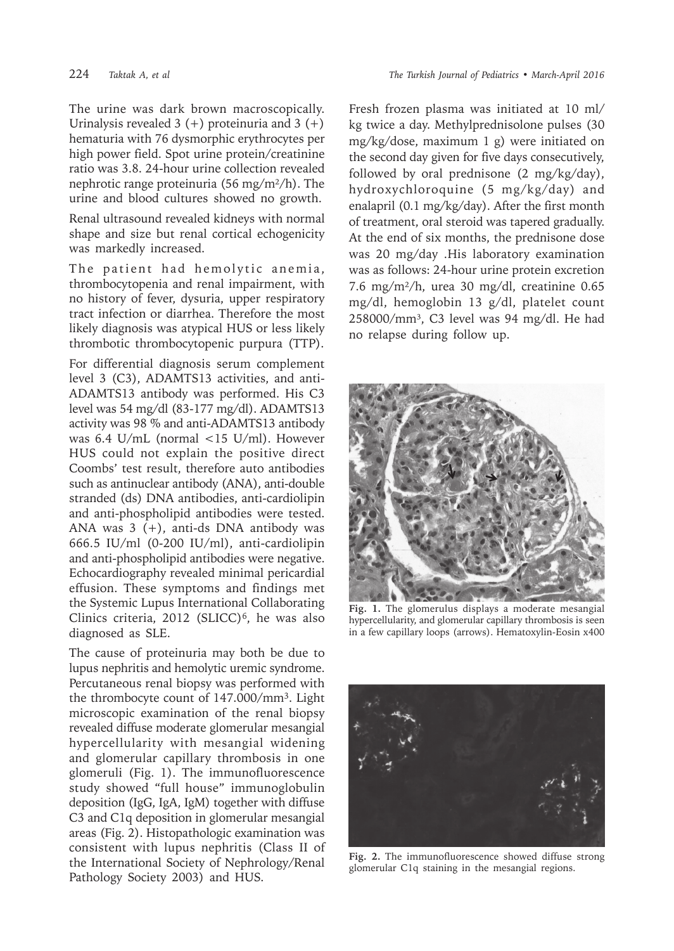The urine was dark brown macroscopically. Urinalysis revealed  $3 (+)$  proteinuria and  $3 (+)$ hematuria with 76 dysmorphic erythrocytes per high power field. Spot urine protein/creatinine ratio was 3.8. 24-hour urine collection revealed nephrotic range proteinuria (56 mg/m²/h). The urine and blood cultures showed no growth.

Renal ultrasound revealed kidneys with normal shape and size but renal cortical echogenicity was markedly increased.

The patient had hemolytic anemia, thrombocytopenia and renal impairment, with no history of fever, dysuria, upper respiratory tract infection or diarrhea. Therefore the most likely diagnosis was atypical HUS or less likely thrombotic thrombocytopenic purpura (TTP).

For differential diagnosis serum complement level 3 (C3), ADAMTS13 activities, and anti-ADAMTS13 antibody was performed. His C3 level was 54 mg/dl (83-177 mg/dl). ADAMTS13 activity was 98 % and anti-ADAMTS13 antibody was 6.4 U/mL (normal <15 U/ml). However HUS could not explain the positive direct Coombs' test result, therefore auto antibodies such as antinuclear antibody (ANA), anti-double stranded (ds) DNA antibodies, anti-cardiolipin and anti-phospholipid antibodies were tested. ANA was 3 (+), anti-ds DNA antibody was 666.5 IU/ml (0-200 IU/ml), anti-cardiolipin and anti-phospholipid antibodies were negative. Echocardiography revealed minimal pericardial effusion. These symptoms and findings met the Systemic Lupus International Collaborating Clinics criteria, 2012 (SLICC) $6$ , he was also diagnosed as SLE.

The cause of proteinuria may both be due to lupus nephritis and hemolytic uremic syndrome. Percutaneous renal biopsy was performed with the thrombocyte count of 147.000/mm<sup>3</sup>. Light microscopic examination of the renal biopsy revealed diffuse moderate glomerular mesangial hypercellularity with mesangial widening and glomerular capillary thrombosis in one glomeruli (Fig. 1). The immunofluorescence study showed "full house" immunoglobulin deposition (IgG, IgA, IgM) together with diffuse C3 and C1q deposition in glomerular mesangial areas (Fig. 2). Histopathologic examination was consistent with lupus nephritis (Class II of the International Society of Nephrology/Renal Pathology Society 2003) and HUS.

Fresh frozen plasma was initiated at 10 ml/ kg twice a day. Methylprednisolone pulses (30 mg/kg/dose, maximum 1 g) were initiated on the second day given for five days consecutively, followed by oral prednisone (2 mg/kg/day), hydroxychloroquine (5 mg/kg/day) and enalapril (0.1 mg/kg/day). After the first month of treatment, oral steroid was tapered gradually. At the end of six months, the prednisone dose was 20 mg/day .His laboratory examination was as follows: 24-hour urine protein excretion 7.6 mg/m²/h, urea 30 mg/dl, creatinine 0.65 mg/dl, hemoglobin 13 g/dl, platelet count 258000/mm³, C3 level was 94 mg/dl. He had no relapse during follow up.



**Fig. 1.** The glomerulus displays a moderate mesangial hypercellularity, and glomerular capillary thrombosis is seen in a few capillary loops (arrows). Hematoxylin-Eosin x400



**Fig. 2.** The immunofluorescence showed diffuse strong glomerular C1q staining in the mesangial regions.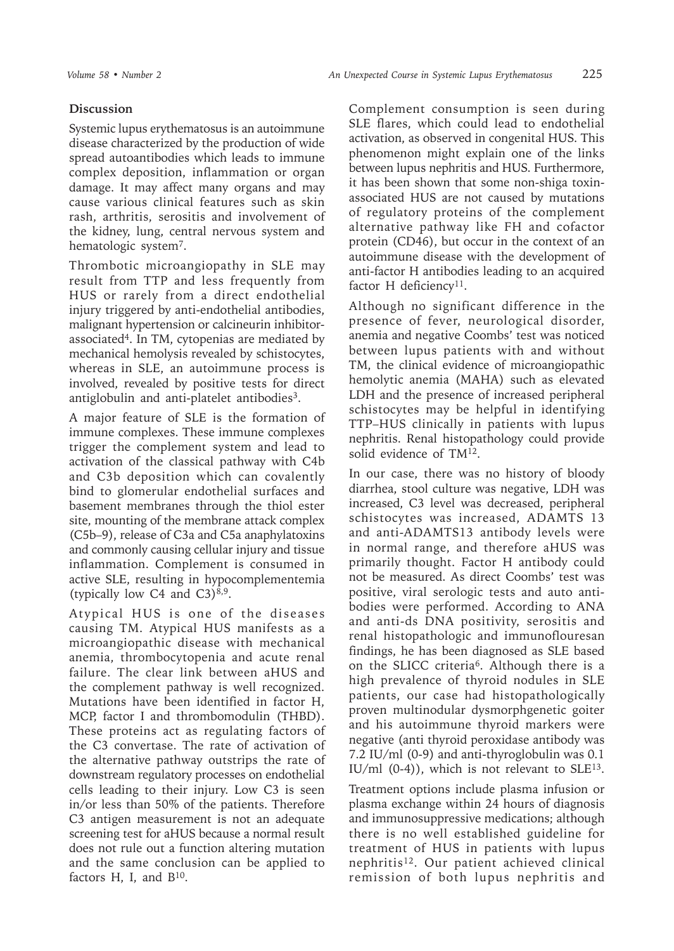## **Discussion**

Systemic lupus erythematosus is an autoimmune disease characterized by the production of wide spread autoantibodies which leads to immune complex deposition, inflammation or organ damage. It may affect many organs and may cause various clinical features such as skin rash, arthritis, serositis and involvement of the kidney, lung, central nervous system and hematologic system<sup>7</sup>.

Thrombotic microangiopathy in SLE may result from TTP and less frequently from HUS or rarely from a direct endothelial injury triggered by anti-endothelial antibodies, malignant hypertension or calcineurin inhibitorassociated<sup>4</sup>. In TM, cytopenias are mediated by mechanical hemolysis revealed by schistocytes, whereas in SLE, an autoimmune process is involved, revealed by positive tests for direct antiglobulin and anti-platelet antibodies<sup>3</sup>.

A major feature of SLE is the formation of immune complexes. These immune complexes trigger the complement system and lead to activation of the classical pathway with C4b and C3b deposition which can covalently bind to glomerular endothelial surfaces and basement membranes through the thiol ester site, mounting of the membrane attack complex (C5b–9), release of C3a and C5a anaphylatoxins and commonly causing cellular injury and tissue inflammation. Complement is consumed in active SLE, resulting in hypocomplementemia (typically low  $C4$  and  $C3$ )<sup>8,9</sup>.

Atypical HUS is one of the diseases causing TM. Atypical HUS manifests as a microangiopathic disease with mechanical anemia, thrombocytopenia and acute renal failure. The clear link between aHUS and the complement pathway is well recognized. Mutations have been identified in factor H, MCP, factor I and thrombomodulin (THBD). These proteins act as regulating factors of the C3 convertase. The rate of activation of the alternative pathway outstrips the rate of downstream regulatory processes on endothelial cells leading to their injury. Low C3 is seen in/or less than 50% of the patients. Therefore C3 antigen measurement is not an adequate screening test for aHUS because a normal result does not rule out a function altering mutation and the same conclusion can be applied to factors H, I, and  $B^{10}$ .

Complement consumption is seen during SLE flares, which could lead to endothelial activation, as observed in congenital HUS. This phenomenon might explain one of the links between lupus nephritis and HUS. Furthermore, it has been shown that some non-shiga toxinassociated HUS are not caused by mutations of regulatory proteins of the complement alternative pathway like FH and cofactor protein (CD46), but occur in the context of an autoimmune disease with the development of anti-factor H antibodies leading to an acquired factor H deficiency<sup>11</sup>.

Although no significant difference in the presence of fever, neurological disorder, anemia and negative Coombs' test was noticed between lupus patients with and without TM, the clinical evidence of microangiopathic hemolytic anemia (MAHA) such as elevated LDH and the presence of increased peripheral schistocytes may be helpful in identifying TTP–HUS clinically in patients with lupus nephritis. Renal histopathology could provide solid evidence of TM12.

In our case, there was no history of bloody diarrhea, stool culture was negative, LDH was increased, C3 level was decreased, peripheral schistocytes was increased, ADAMTS 13 and anti-ADAMTS13 antibody levels were in normal range, and therefore aHUS was primarily thought. Factor H antibody could not be measured. As direct Coombs' test was positive, viral serologic tests and auto antibodies were performed. According to ANA and anti-ds DNA positivity, serositis and renal histopathologic and immunoflouresan findings, he has been diagnosed as SLE based on the SLICC criteria6. Although there is a high prevalence of thyroid nodules in SLE patients, our case had histopathologically proven multinodular dysmorphgenetic goiter and his autoimmune thyroid markers were negative (anti thyroid peroxidase antibody was 7.2 IU/ml (0-9) and anti-thyroglobulin was 0.1 IU/ml (0-4)), which is not relevant to SLE<sup>13</sup>.

Treatment options include plasma infusion or plasma exchange within 24 hours of diagnosis and immunosuppressive medications; although there is no well established guideline for treatment of HUS in patients with lupus nephritis<sup>12</sup>. Our patient achieved clinical remission of both lupus nephritis and